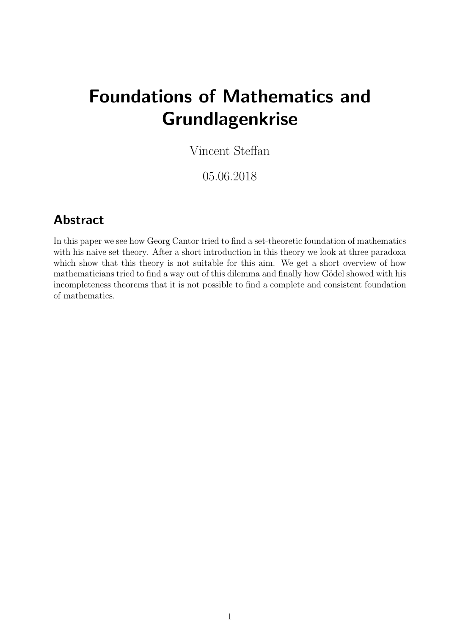# Foundations of Mathematics and Grundlagenkrise

Vincent Steffan

05.06.2018

### Abstract

In this paper we see how Georg Cantor tried to find a set-theoretic foundation of mathematics with his naive set theory. After a short introduction in this theory we look at three paradoxa which show that this theory is not suitable for this aim. We get a short overview of how mathematicians tried to find a way out of this dilemma and finally how Gödel showed with his incompleteness theorems that it is not possible to find a complete and consistent foundation of mathematics.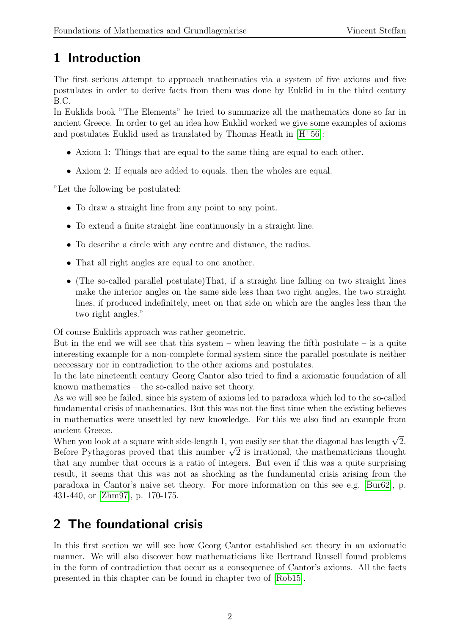# 1 Introduction

The first serious attempt to approach mathematics via a system of five axioms and five postulates in order to derive facts from them was done by Euklid in in the third century B.C.

In Euklids book "The Elements" he tried to summarize all the mathematics done so far in ancient Greece. In order to get an idea how Euklid worked we give some examples of axioms and postulates Euklid used as translated by Thomas Heath in  $[H^+56]$  $[H^+56]$ :

- Axiom 1: Things that are equal to the same thing are equal to each other.
- Axiom 2: If equals are added to equals, then the wholes are equal.

"Let the following be postulated:

- To draw a straight line from any point to any point.
- To extend a finite straight line continuously in a straight line.
- To describe a circle with any centre and distance, the radius.
- That all right angles are equal to one another.
- (The so-called parallel postulate)That, if a straight line falling on two straight lines make the interior angles on the same side less than two right angles, the two straight lines, if produced indefinitely, meet on that side on which are the angles less than the two right angles."

Of course Euklids approach was rather geometric.

But in the end we will see that this system – when leaving the fifth postulate – is a quite interesting example for a non-complete formal system since the parallel postulate is neither neccessary nor in contradiction to the other axioms and postulates.

In the late nineteenth century Georg Cantor also tried to find a axiomatic foundation of all known mathematics – the so-called naive set theory.

As we will see he failed, since his system of axioms led to paradoxa which led to the so-called fundamental crisis of mathematics. But this was not the first time when the existing believes in mathematics were unsettled by new knowledge. For this we also find an example from ancient Greece.

ancient Greece.<br>When you look at a square with side-length 1, you easily see that the diagonal has length  $\sqrt{2}.$ when you look at a square with side-length 1, you easily see that the diagonal has length  $\sqrt{2}$ .<br>Before Pythagoras proved that this number  $\sqrt{2}$  is irrational, the mathematicians thought that any number that occurs is a ratio of integers. But even if this was a quite surprising result, it seems that this was not as shocking as the fundamental crisis arising from the paradoxa in Cantor's naive set theory. For more information on this see e.g. [\[Bur62\]](#page-7-1), p. 431-440, or [\[Zhm97\]](#page-8-0), p. 170-175.

### 2 The foundational crisis

In this first section we will see how Georg Cantor established set theory in an axiomatic manner. We will also discover how mathematicians like Bertrand Russell found problems in the form of contradiction that occur as a consequence of Cantor's axioms. All the facts presented in this chapter can be found in chapter two of [\[Rob15\]](#page-8-1).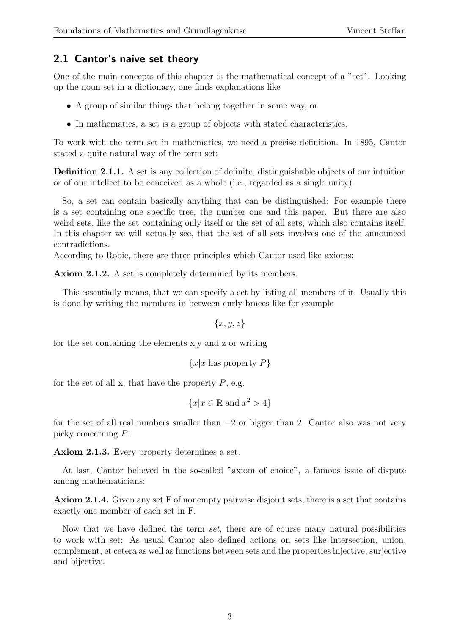#### 2.1 Cantor's naive set theory

One of the main concepts of this chapter is the mathematical concept of a "set". Looking up the noun set in a dictionary, one finds explanations like

- A group of similar things that belong together in some way, or
- In mathematics, a set is a group of objects with stated characteristics.

To work with the term set in mathematics, we need a precise definition. In 1895, Cantor stated a quite natural way of the term set:

Definition 2.1.1. A set is any collection of definite, distinguishable objects of our intuition or of our intellect to be conceived as a whole (i.e., regarded as a single unity).

So, a set can contain basically anything that can be distinguished: For example there is a set containing one specific tree, the number one and this paper. But there are also weird sets, like the set containing only itself or the set of all sets, which also contains itself. In this chapter we will actually see, that the set of all sets involves one of the announced contradictions.

According to Robic, there are three principles which Cantor used like axioms:

Axiom 2.1.2. A set is completely determined by its members.

This essentially means, that we can specify a set by listing all members of it. Usually this is done by writing the members in between curly braces like for example

 ${x, y, z}$ 

for the set containing the elements x,y and z or writing

 ${x|x \text{ has property } P}$ 

for the set of all x, that have the property  $P$ , e.g.

$$
\{x|x \in \mathbb{R} \text{ and } x^2 > 4\}
$$

for the set of all real numbers smaller than −2 or bigger than 2. Cantor also was not very picky concerning P:

Axiom 2.1.3. Every property determines a set.

At last, Cantor believed in the so-called "axiom of choice", a famous issue of dispute among mathematicians:

Axiom 2.1.4. Given any set F of nonempty pairwise disjoint sets, there is a set that contains exactly one member of each set in F.

Now that we have defined the term set, there are of course many natural possibilities to work with set: As usual Cantor also defined actions on sets like intersection, union, complement, et cetera as well as functions between sets and the properties injective, surjective and bijective.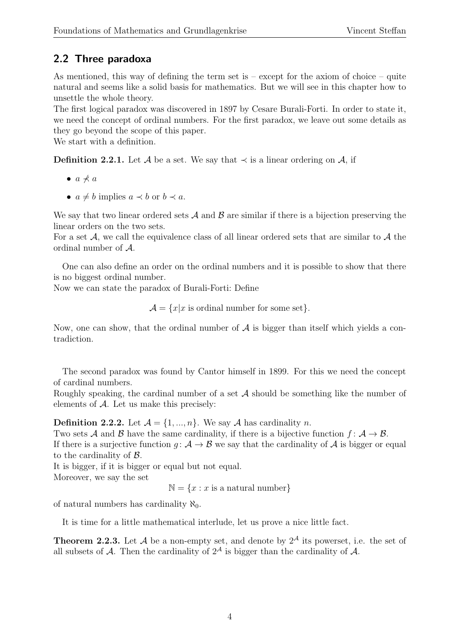### 2.2 Three paradoxa

As mentioned, this way of defining the term set is – except for the axiom of choice – quite natural and seems like a solid basis for mathematics. But we will see in this chapter how to unsettle the whole theory.

The first logical paradox was discovered in 1897 by Cesare Burali-Forti. In order to state it, we need the concept of ordinal numbers. For the first paradox, we leave out some details as they go beyond the scope of this paper.

We start with a definition.

**Definition 2.2.1.** Let A be a set. We say that  $\prec$  is a linear ordering on A, if

- $\bullet$  a  $\not\prec$  a
- $a \neq b$  implies  $a \prec b$  or  $b \prec a$ .

We say that two linear ordered sets  $A$  and  $B$  are similar if there is a bijection preserving the linear orders on the two sets.

For a set  $A$ , we call the equivalence class of all linear ordered sets that are similar to  $A$  the ordinal number of A.

One can also define an order on the ordinal numbers and it is possible to show that there is no biggest ordinal number.

Now we can state the paradox of Burali-Forti: Define

 $\mathcal{A} = \{x | x$  is ordinal number for some set}.

Now, one can show, that the ordinal number of  $A$  is bigger than itself which yields a contradiction.

The second paradox was found by Cantor himself in 1899. For this we need the concept of cardinal numbers.

Roughly speaking, the cardinal number of a set  $A$  should be something like the number of elements of  $A$ . Let us make this precisely:

**Definition 2.2.2.** Let  $\mathcal{A} = \{1, ..., n\}$ . We say  $\mathcal{A}$  has cardinality n.

Two sets A and B have the same cardinality, if there is a bijective function  $f: \mathcal{A} \to \mathcal{B}$ . If there is a surjective function  $q: A \to B$  we say that the cardinality of A is bigger or equal to the cardinality of B.

It is bigger, if it is bigger or equal but not equal.

Moreover, we say the set

 $\mathbb{N} = \{x : x \text{ is a natural number}\}\$ 

of natural numbers has cardinality  $\aleph_0$ .

It is time for a little mathematical interlude, let us prove a nice little fact.

**Theorem 2.2.3.** Let A be a non-empty set, and denote by  $2^{\mathcal{A}}$  its powerset, i.e. the set of all subsets of A. Then the cardinality of  $2^{\mathcal{A}}$  is bigger than the cardinality of A.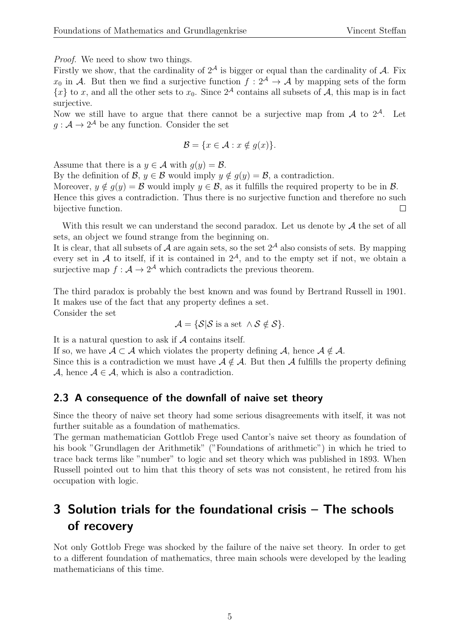Proof. We need to show two things.

Firstly we show, that the cardinality of  $2^{\mathcal{A}}$  is bigger or equal than the cardinality of  $\mathcal{A}$ . Fix  $x_0$  in A. But then we find a surjective function  $f: 2^{\mathcal{A}} \to \mathcal{A}$  by mapping sets of the form  ${x}$  to x, and all the other sets to  $x_0$ . Since  $2^{\mathcal{A}}$  contains all subsets of A, this map is in fact surjective.

Now we still have to argue that there cannot be a surjective map from  $A$  to  $2^A$ . Let  $g: \mathcal{A} \to 2^{\mathcal{A}}$  be any function. Consider the set

$$
\mathcal{B} = \{ x \in \mathcal{A} : x \notin g(x) \}.
$$

Assume that there is a  $y \in \mathcal{A}$  with  $g(y) = \mathcal{B}$ .

By the definition of  $\mathcal{B}, y \in \mathcal{B}$  would imply  $y \notin g(y) = \mathcal{B}$ , a contradiction.

Moreover,  $y \notin g(y) = \mathcal{B}$  would imply  $y \in \mathcal{B}$ , as it fulfills the required property to be in  $\mathcal{B}$ . Hence this gives a contradiction. Thus there is no surjective function and therefore no such bijective function.  $\Box$ 

With this result we can understand the second paradox. Let us denote by  $A$  the set of all sets, an object we found strange from the beginning on.

It is clear, that all subsets of A are again sets, so the set  $2^{\mathcal{A}}$  also consists of sets. By mapping every set in A to itself, if it is contained in  $2<sup>A</sup>$ , and to the empty set if not, we obtain a surjective map  $f: \mathcal{A} \to 2^{\mathcal{A}}$  which contradicts the previous theorem.

The third paradox is probably the best known and was found by Bertrand Russell in 1901. It makes use of the fact that any property defines a set. Consider the set

 $\mathcal{A} = \{ \mathcal{S} | \mathcal{S}$  is a set  $\wedge \mathcal{S} \notin \mathcal{S} \}.$ 

It is a natural question to ask if  $A$  contains itself.

If so, we have  $A \subset A$  which violates the property defining A, hence  $A \notin A$ .

Since this is a contradiction we must have  $A \notin \mathcal{A}$ . But then A fulfills the property defining A, hence  $A \in \mathcal{A}$ , which is also a contradiction.

#### 2.3 A consequence of the downfall of naive set theory

Since the theory of naive set theory had some serious disagreements with itself, it was not further suitable as a foundation of mathematics.

The german mathematician Gottlob Frege used Cantor's naive set theory as foundation of his book "Grundlagen der Arithmetik" ("Foundations of arithmetic") in which he tried to trace back terms like "number" to logic and set theory which was published in 1893. When Russell pointed out to him that this theory of sets was not consistent, he retired from his occupation with logic.

### 3 Solution trials for the foundational crisis – The schools of recovery

Not only Gottlob Frege was shocked by the failure of the naive set theory. In order to get to a different foundation of mathematics, three main schools were developed by the leading mathematicians of this time.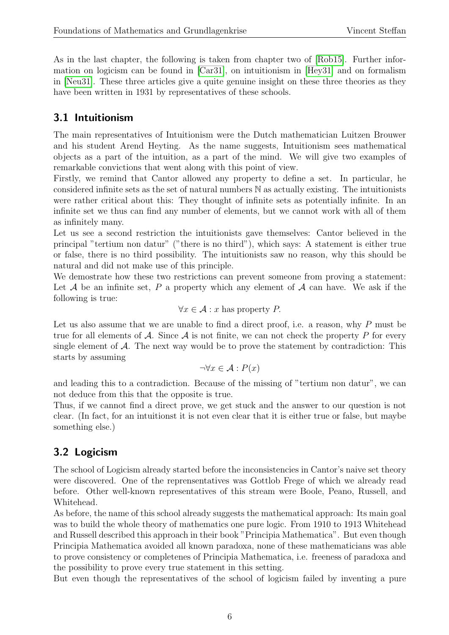As in the last chapter, the following is taken from chapter two of [\[Rob15\]](#page-8-1). Further information on logicism can be found in [\[Car31\]](#page-7-2), on intuitionism in [\[Hey31\]](#page-7-3) and on formalism in [\[Neu31\]](#page-7-4). These three articles give a quite genuine insight on these three theories as they have been written in 1931 by representatives of these schools.

#### 3.1 Intuitionism

The main representatives of Intuitionism were the Dutch mathematician Luitzen Brouwer and his student Arend Heyting. As the name suggests, Intuitionism sees mathematical objects as a part of the intuition, as a part of the mind. We will give two examples of remarkable convictions that went along with this point of view.

Firstly, we remind that Cantor allowed any property to define a set. In particular, he considered infinite sets as the set of natural numbers N as actually existing. The intuitionists were rather critical about this: They thought of infinite sets as potentially infinite. In an infinite set we thus can find any number of elements, but we cannot work with all of them as infinitely many.

Let us see a second restriction the intuitionists gave themselves: Cantor believed in the principal "tertium non datur" ("there is no third"), which says: A statement is either true or false, there is no third possibility. The intuitionists saw no reason, why this should be natural and did not make use of this principle.

We demostrate how these two restrictions can prevent someone from proving a statement: Let  $A$  be an infinite set,  $P$  a property which any element of  $A$  can have. We ask if the following is true:

$$
\forall x \in \mathcal{A} : x \text{ has property } P.
$$

Let us also assume that we are unable to find a direct proof, i.e. a reason, why P must be true for all elements of  $\mathcal A$ . Since  $\mathcal A$  is not finite, we can not check the property P for every single element of  $A$ . The next way would be to prove the statement by contradiction: This starts by assuming

$$
\neg \forall x \in \mathcal{A} : P(x)
$$

and leading this to a contradiction. Because of the missing of "tertium non datur", we can not deduce from this that the opposite is true.

Thus, if we cannot find a direct prove, we get stuck and the answer to our question is not clear. (In fact, for an intuitionst it is not even clear that it is either true or false, but maybe something else.)

### 3.2 Logicism

The school of Logicism already started before the inconsistencies in Cantor's naive set theory were discovered. One of the reprensentatives was Gottlob Frege of which we already read before. Other well-known representatives of this stream were Boole, Peano, Russell, and Whitehead.

As before, the name of this school already suggests the mathematical approach: Its main goal was to build the whole theory of mathematics one pure logic. From 1910 to 1913 Whitehead and Russell described this approach in their book "Principia Mathematica". But even though Principia Mathematica avoided all known paradoxa, none of these mathematicians was able to prove consistency or completenes of Principia Mathematica, i.e. freeness of paradoxa and the possibility to prove every true statement in this setting.

But even though the representatives of the school of logicism failed by inventing a pure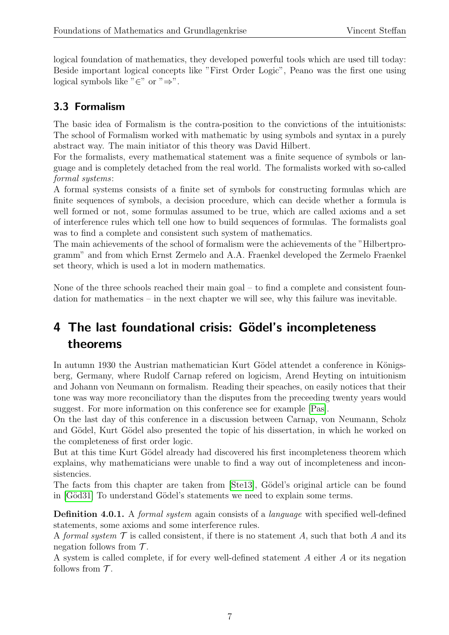logical foundation of mathematics, they developed powerful tools which are used till today: Beside important logical concepts like "First Order Logic", Peano was the first one using logical symbols like "∈" or " $\Rightarrow$ ".

### 3.3 Formalism

The basic idea of Formalism is the contra-position to the convictions of the intuitionists: The school of Formalism worked with mathematic by using symbols and syntax in a purely abstract way. The main initiator of this theory was David Hilbert.

For the formalists, every mathematical statement was a finite sequence of symbols or language and is completely detached from the real world. The formalists worked with so-called formal systems:

A formal systems consists of a finite set of symbols for constructing formulas which are finite sequences of symbols, a decision procedure, which can decide whether a formula is well formed or not, some formulas assumed to be true, which are called axioms and a set of interference rules which tell one how to build sequences of formulas. The formalists goal was to find a complete and consistent such system of mathematics.

The main achievements of the school of formalism were the achievements of the "Hilbertprogramm" and from which Ernst Zermelo and A.A. Fraenkel developed the Zermelo Fraenkel set theory, which is used a lot in modern mathematics.

None of the three schools reached their main goal – to find a complete and consistent foundation for mathematics – in the next chapter we will see, why this failure was inevitable.

## 4 The last foundational crisis: Gödel's incompleteness theorems

In autumn 1930 the Austrian mathematician Kurt Gödel attendet a conference in Königsberg, Germany, where Rudolf Carnap refered on logicism, Arend Heyting on intuitionism and Johann von Neumann on formalism. Reading their speaches, on easily notices that their tone was way more reconciliatory than the disputes from the preceeding twenty years would suggest. For more information on this conference see for example [\[Pas\]](#page-7-5).

On the last day of this conference in a discussion between Carnap, von Neumann, Scholz and Gödel, Kurt Gödel also presented the topic of his dissertation, in which he worked on the completeness of first order logic.

But at this time Kurt Gödel already had discovered his first incompleteness theorem which explains, why mathematicians were unable to find a way out of incompleteness and inconsistencies.

The facts from this chapter are taken from [\[Ste13\]](#page-8-2), Gödel's original article can be found in [Göd31] To understand Gödel's statements we need to explain some terms.

Definition 4.0.1. A formal system again consists of a language with specified well-defined statements, some axioms and some interference rules.

A formal system  $\mathcal T$  is called consistent, if there is no statement A, such that both A and its negation follows from  $\mathcal{T}$ .

A system is called complete, if for every well-defined statement A either A or its negation follows from  $\mathcal T$ .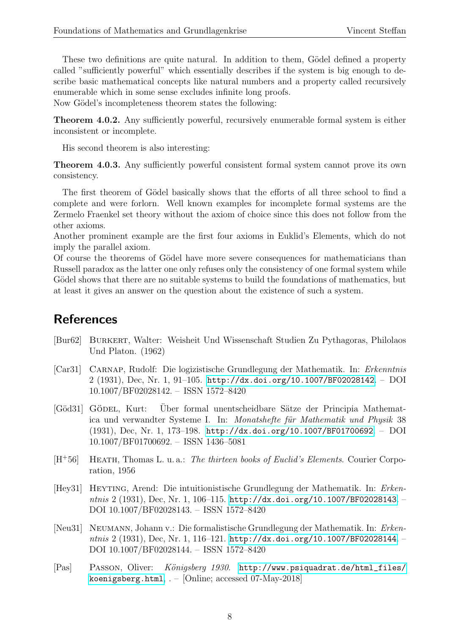These two definitions are quite natural. In addition to them, Gödel defined a property called "sufficiently powerful" which essentially describes if the system is big enough to describe basic mathematical concepts like natural numbers and a property called recursively enumerable which in some sense excludes infinite long proofs.

Now Gödel's incompleteness theorem states the following:

Theorem 4.0.2. Any sufficiently powerful, recursively enumerable formal system is either inconsistent or incomplete.

His second theorem is also interesting:

**Theorem 4.0.3.** Any sufficiently powerful consistent formal system cannot prove its own consistency.

The first theorem of Gödel basically shows that the efforts of all three school to find a complete and were forlorn. Well known examples for incomplete formal systems are the Zermelo Fraenkel set theory without the axiom of choice since this does not follow from the other axioms.

Another prominent example are the first four axioms in Euklid's Elements, which do not imply the parallel axiom.

Of course the theorems of Gödel have more severe consequences for mathematicians than Russell paradox as the latter one only refuses only the consistency of one formal system while Gödel shows that there are no suitable systems to build the foundations of mathematics, but at least it gives an answer on the question about the existence of such a system.

### **References**

- <span id="page-7-1"></span>[Bur62] Burkert, Walter: Weisheit Und Wissenschaft Studien Zu Pythagoras, Philolaos Und Platon. (1962)
- <span id="page-7-2"></span>[Car31] Carnap, Rudolf: Die logizistische Grundlegung der Mathematik. In: Erkenntnis 2 (1931), Dec, Nr. 1, 91–105. <http://dx.doi.org/10.1007/BF02028142>. – DOI 10.1007/BF02028142. – ISSN 1572–8420
- <span id="page-7-6"></span>[Göd31] GÖDEL, Kurt: Über formal unentscheidbare Sätze der Principia Mathematica und verwandter Systeme I. In: Monatshefte für Mathematik und Physik 38 (1931), Dec, Nr. 1, 173–198. <http://dx.doi.org/10.1007/BF01700692>. – DOI 10.1007/BF01700692. – ISSN 1436–5081
- <span id="page-7-0"></span> $[H<sup>+</sup>56]$  HEATH, Thomas L. u. a.: The thirteen books of Euclid's Elements. Courier Corporation, 1956
- <span id="page-7-3"></span>[Hey31] Heyting, Arend: Die intuitionistische Grundlegung der Mathematik. In: Erkenntnis 2 (1931), Dec, Nr. 1, 106–115. <http://dx.doi.org/10.1007/BF02028143>. – DOI 10.1007/BF02028143. – ISSN 1572–8420
- <span id="page-7-4"></span>[Neu31] Neumann, Johann v.: Die formalistische Grundlegung der Mathematik. In: Erkenntnis 2 (1931), Dec, Nr. 1, 116–121. <http://dx.doi.org/10.1007/BF02028144>. – DOI 10.1007/BF02028144. – ISSN 1572–8420
- <span id="page-7-5"></span>[Pas] PASSON, Oliver: Königsberg 1930. [http://www.psiquadrat.de/html\\_files/](http://www.psiquadrat.de/html_files/koenigsberg.html) [koenigsberg.html](http://www.psiquadrat.de/html_files/koenigsberg.html),  $-$  [Online; accessed 07-May-2018]